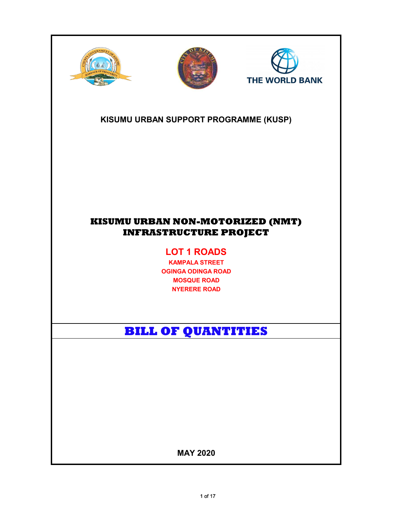





### KISUMU URBAN SUPPORT PROGRAMME (KUSP)

## KISUMU URBAN NON-MOTORIZED (NMT) INFRASTRUCTURE PROJECT

# LOT 1 ROADS

KAMPALA STREET OGINGA ODINGA ROAD MOSQUE ROAD NYERERE ROAD

# BILL OF QUANTITIES

MAY 2020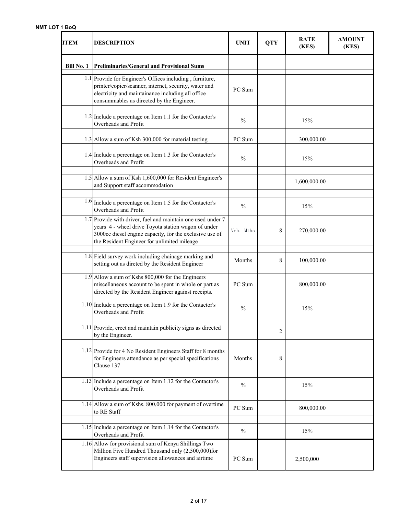#### NMT LOT 1 BoQ

| ITEM              | <b>DESCRIPTION</b>                                                                                                                                                                                                           | <b>UNIT</b>   | <b>QTY</b> | <b>RATE</b><br>(KES) | <b>AMOUNT</b><br>(KES) |
|-------------------|------------------------------------------------------------------------------------------------------------------------------------------------------------------------------------------------------------------------------|---------------|------------|----------------------|------------------------|
| <b>Bill No. 1</b> | <b>Preliminaries/General and Provisional Sums</b>                                                                                                                                                                            |               |            |                      |                        |
|                   | 1.1 Provide for Engineer's Offices including, furniture,<br>printer/copier/scanner, internet, security, water and<br>electricity and maintainance including all office<br>consummables as directed by the Engineer.          | PC Sum        |            |                      |                        |
|                   | $1.2$ Include a percentage on Item 1.1 for the Contactor's<br>Overheads and Profit                                                                                                                                           | $\frac{0}{0}$ |            | 15%                  |                        |
|                   | 1.3 Allow a sum of Ksh 300,000 for material testing                                                                                                                                                                          | PC Sum        |            | 300,000.00           |                        |
|                   | 1.4 Include a percentage on Item 1.3 for the Contactor's<br>Overheads and Profit                                                                                                                                             |               |            | 15%                  |                        |
|                   | 1.5 Allow a sum of Ksh 1,600,000 for Resident Engineer's<br>and Support staff accommodation                                                                                                                                  |               |            | 1,600,000.00         |                        |
|                   | $1.6$ Include a percentage on Item 1.5 for the Contactor's<br>Overheads and Profit                                                                                                                                           | $\frac{0}{0}$ |            | 15%                  |                        |
|                   | 1.7 Provide with driver, fuel and maintain one used under 7<br>years 4 - wheel drive Toyota station wagon of under<br>3000cc diesel engine capacity, for the exclusive use of<br>the Resident Engineer for unlimited mileage | Veh. Mths     | 8          | 270,000.00           |                        |
|                   | 1.8 Field survey work including chainage marking and<br>setting out as direted by the Resident Engineer                                                                                                                      | Months        | 8          | 100,000.00           |                        |
|                   | 1.9 Allow a sum of Kshs 800,000 for the Engineers<br>miscellaneous account to be spent in whole or part as<br>directed by the Resident Engineer against receipts.                                                            | PC Sum        |            | 800,000.00           |                        |
|                   | $1.10$ Include a percentage on Item 1.9 for the Contactor's<br>Overheads and Profit                                                                                                                                          | $\frac{0}{0}$ |            | 15%                  |                        |
|                   | 1.11 Provide, erect and maintain publicity signs as directed<br>by the Engineer.                                                                                                                                             |               | 2          |                      |                        |
|                   | 1.12 Provide for 4 No Resident Engineers Staff for 8 months<br>for Engineers attendance as per special specifications<br>Clause 137                                                                                          | Months        | 8          |                      |                        |
|                   | 1.13 Include a percentage on Item 1.12 for the Contactor's<br>Overheads and Profit                                                                                                                                           | $\frac{0}{0}$ |            | 15%                  |                        |
|                   | 1.14 Allow a sum of Kshs. 800,000 for payment of overtime<br>to RE Staff                                                                                                                                                     | PC Sum        |            | 800,000.00           |                        |
|                   | 1.15 Include a percentage on Item 1.14 for the Contactor's<br>Overheads and Profit                                                                                                                                           | $\frac{0}{0}$ |            | 15%                  |                        |
|                   | 1.16 Allow for provisional sum of Kenya Shillings Two<br>Million Five Hundred Thousand only (2,500,000)for<br>Engineers staff supervision allowances and airtime                                                             | PC Sum        |            | 2,500,000            |                        |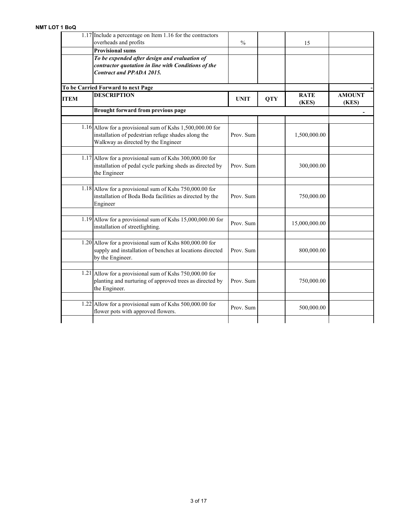|             | $1.17$ Include a percentage on Item 1.16 for the contractors<br>overheads and profits           | $\frac{0}{0}$ |            | 15            |               |
|-------------|-------------------------------------------------------------------------------------------------|---------------|------------|---------------|---------------|
|             | <b>Provisional sums</b>                                                                         |               |            |               |               |
|             | To be expended after design and evaluation of                                                   |               |            |               |               |
|             | contractor quotation in line with Conditions of the                                             |               |            |               |               |
|             | <b>Contract and PPADA 2015.</b>                                                                 |               |            |               |               |
|             |                                                                                                 |               |            |               |               |
|             | To be Carried Forward to next Page<br><b>DESCRIPTION</b>                                        |               |            | <b>RATE</b>   | <b>AMOUNT</b> |
| <b>ITEM</b> |                                                                                                 | <b>UNIT</b>   | <b>QTY</b> | (KES)         | (KES)         |
|             | Brought forward from previous page                                                              |               |            |               |               |
|             | 1.16 Allow for a provisional sum of Kshs $1,500,000.00$ for                                     |               |            |               |               |
|             | installation of pedestrian refuge shades along the<br>Walkway as directed by the Engineer       | Prov. Sum     |            | 1,500,000.00  |               |
|             |                                                                                                 |               |            |               |               |
|             | 1.17 Allow for a provisional sum of Kshs 300,000.00 for                                         |               |            |               |               |
|             | installation of pedal cycle parking sheds as directed by<br>the Engineer                        | Prov. Sum     |            | 300,000.00    |               |
|             | 1.18 Allow for a provisional sum of Kshs 750,000.00 for                                         |               |            |               |               |
|             | installation of Boda Boda facilities as directed by the<br>Engineer                             | Prov. Sum     |            | 750,000.00    |               |
|             |                                                                                                 |               |            |               |               |
|             | 1.19 Allow for a provisional sum of Kshs $15,000,000.00$ for<br>installation of streetlighting. | Prov. Sum     |            | 15,000,000.00 |               |
|             | 1.20 Allow for a provisional sum of Kshs 800,000.00 for                                         |               |            |               |               |
|             | supply and installation of benches at locations directed                                        | Prov. Sum     |            | 800,000.00    |               |
|             | by the Engineer.                                                                                |               |            |               |               |
|             | 1.21 Allow for a provisional sum of Kshs $750,000.00$ for                                       |               |            |               |               |
|             | planting and nurturing of approved trees as directed by<br>the Engineer.                        | Prov. Sum     |            | 750,000.00    |               |
|             | 1.22 Allow for a provisional sum of Kshs 500,000.00 for                                         |               |            |               |               |
|             | flower pots with approved flowers.                                                              | Prov. Sum     |            | 500,000.00    |               |
|             |                                                                                                 |               |            |               |               |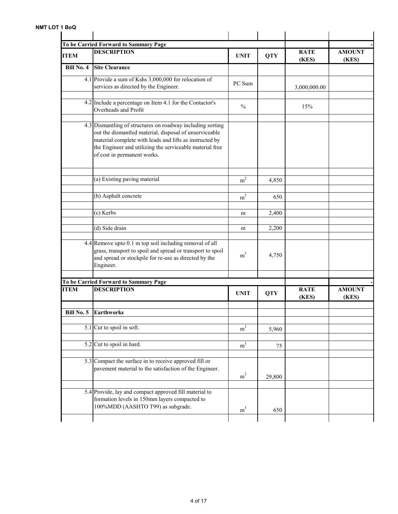|             | To be Carried Forward to Sammary Page<br><b>DESCRIPTION</b>                                                                                                                                                                                                                |                |            | <b>RATE</b>          | <b>AMOUNT</b>          |
|-------------|----------------------------------------------------------------------------------------------------------------------------------------------------------------------------------------------------------------------------------------------------------------------------|----------------|------------|----------------------|------------------------|
| <b>ITEM</b> |                                                                                                                                                                                                                                                                            | <b>UNIT</b>    | <b>QTY</b> | (KES)                | (KES)                  |
| Bill No. 4  | <b>Site Clearance</b>                                                                                                                                                                                                                                                      |                |            |                      |                        |
|             | 4.1 Provide a sum of Kshs 3,000,000 for relocation of<br>services as directed by the Engineer.                                                                                                                                                                             | PC Sum         |            | 3,000,000.00         |                        |
|             | 4.2 Include a percentage on Item 4.1 for the Contactor's<br>Overheads and Profit                                                                                                                                                                                           | $\frac{0}{0}$  |            | 15%                  |                        |
|             | 4.3 Dismantling of structures on roadway including sorting<br>out the dismantled material, disposal of unserviceable<br>material complete with leads and lifts as instructed by<br>the Engineer and utilizing the serviceable material free<br>of cost in permanent works. |                |            |                      |                        |
|             | (a) Existing paving material                                                                                                                                                                                                                                               | m <sup>2</sup> | 4,850      |                      |                        |
|             | (b) Asphalt concrete                                                                                                                                                                                                                                                       | m <sup>2</sup> | 650        |                      |                        |
|             | (c) Kerbs                                                                                                                                                                                                                                                                  | m              | 2,400      |                      |                        |
|             | (d) Side drain                                                                                                                                                                                                                                                             | m              | 2,200      |                      |                        |
|             | 4.4 Remove upto 0.1 m top soil including removal of all<br>grass, transport to spoil and spread or transport to spoil<br>and spread or stockpile for re-use as directed by the<br>Engineer.                                                                                | m <sup>3</sup> | 4,750      |                      |                        |
|             | To be Carried Forward to Sammary Page                                                                                                                                                                                                                                      |                |            |                      |                        |
| <b>ITEM</b> | <b>DESCRIPTION</b>                                                                                                                                                                                                                                                         | <b>UNIT</b>    | <b>QTY</b> | <b>RATE</b><br>(KES) | <b>AMOUNT</b><br>(KES) |
| Bill No. 5  | <b>Earthworks</b>                                                                                                                                                                                                                                                          |                |            |                      |                        |
|             |                                                                                                                                                                                                                                                                            |                |            |                      |                        |
|             | 5.1 Cut to spoil in soft.                                                                                                                                                                                                                                                  | m <sup>3</sup> | 5,960      |                      |                        |
|             | 5.2 Cut to spoil in hard.                                                                                                                                                                                                                                                  | m <sup>3</sup> | 75         |                      |                        |
|             | 5.3 Compact the surface in to receive approved fill or<br>pavement material to the satisfaction of the Engineer.                                                                                                                                                           | m <sup>2</sup> | 29,800     |                      |                        |
|             | 5.4 Provide, lay and compact approved fill material to<br>formation levels in 150mm layers compacted to<br>100%MDD (AASHTO T99) as subgrade.                                                                                                                               | m <sup>3</sup> | 650        |                      |                        |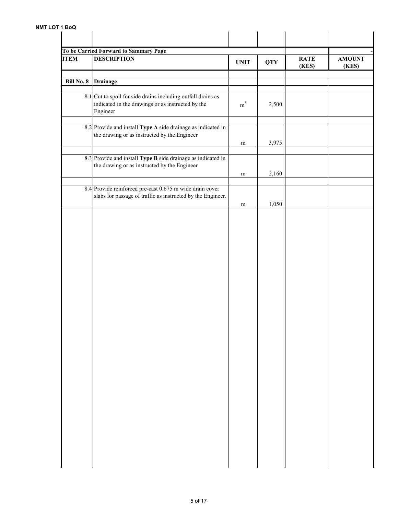| <b>ITEM</b>       | To be Carried Forward to Sammary Page<br><b>DESCRIPTION</b>                                                                   | <b>UNIT</b>    | <b>QTY</b> | <b>RATE</b><br>(KES) | <b>AMOUNT</b><br>(KES) |
|-------------------|-------------------------------------------------------------------------------------------------------------------------------|----------------|------------|----------------------|------------------------|
| <b>Bill No. 8</b> | Drainage                                                                                                                      |                |            |                      |                        |
|                   | 8.1 Cut to spoil for side drains including outfall drains as<br>indicated in the drawings or as instructed by the<br>Engineer | m <sup>3</sup> | 2,500      |                      |                        |
|                   | 8.2 Provide and install Type A side drainage as indicated in<br>the drawing or as instructed by the Engineer                  | m              | 3,975      |                      |                        |
|                   |                                                                                                                               |                |            |                      |                        |
|                   | 8.3 Provide and install Type B side drainage as indicated in<br>the drawing or as instructed by the Engineer                  | m              | 2,160      |                      |                        |
|                   | 8.4 Provide reinforced pre-cast 0.675 m wide drain cover<br>slabs for passage of traffic as instructed by the Engineer.       | ${\rm m}$      | 1,050      |                      |                        |
|                   |                                                                                                                               |                |            |                      |                        |
|                   |                                                                                                                               |                |            |                      |                        |
|                   |                                                                                                                               |                |            |                      |                        |
|                   |                                                                                                                               |                |            |                      |                        |
|                   |                                                                                                                               |                |            |                      |                        |
|                   |                                                                                                                               |                |            |                      |                        |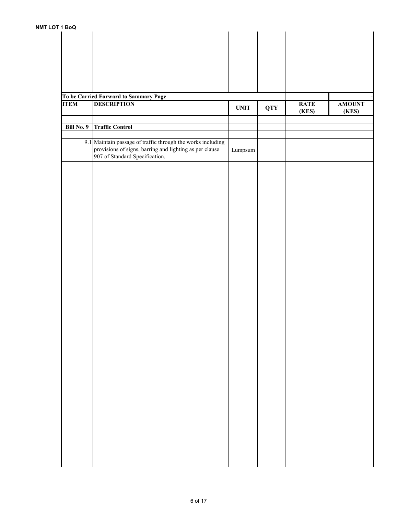| <b>IDOW</b> |                                                             |                  |            |             |               |
|-------------|-------------------------------------------------------------|------------------|------------|-------------|---------------|
|             |                                                             |                  |            |             |               |
|             |                                                             |                  |            |             |               |
|             |                                                             |                  |            |             |               |
|             |                                                             |                  |            |             |               |
|             |                                                             |                  |            |             |               |
|             |                                                             |                  |            |             |               |
|             |                                                             |                  |            |             |               |
|             |                                                             |                  |            |             |               |
|             |                                                             |                  |            |             |               |
|             | To be Carried Forward to Sammary Page                       |                  |            |             |               |
| <b>ITEM</b> | <b>DESCRIPTION</b>                                          | <b>UNIT</b>      | <b>QTY</b> | <b>RATE</b> | <b>AMOUNT</b> |
|             |                                                             |                  |            | (KES)       | (KES)         |
|             |                                                             |                  |            |             |               |
| Bill No. 9  | <b>Traffic Control</b>                                      |                  |            |             |               |
|             |                                                             |                  |            |             |               |
|             |                                                             |                  |            |             |               |
|             | 9.1 Maintain passage of traffic through the works including |                  |            |             |               |
|             | provisions of signs, barring and lighting as per clause     | $\mbox{Lumpsum}$ |            |             |               |
|             | 907 of Standard Specification.                              |                  |            |             |               |
|             |                                                             |                  |            |             |               |
|             |                                                             |                  |            |             |               |
|             |                                                             |                  |            |             |               |
|             |                                                             |                  |            |             |               |
|             |                                                             |                  |            |             |               |
|             |                                                             |                  |            |             |               |
|             |                                                             |                  |            |             |               |
|             |                                                             |                  |            |             |               |
|             |                                                             |                  |            |             |               |
|             |                                                             |                  |            |             |               |
|             |                                                             |                  |            |             |               |
|             |                                                             |                  |            |             |               |
|             |                                                             |                  |            |             |               |
|             |                                                             |                  |            |             |               |
|             |                                                             |                  |            |             |               |
|             |                                                             |                  |            |             |               |
|             |                                                             |                  |            |             |               |
|             |                                                             |                  |            |             |               |
|             |                                                             |                  |            |             |               |
|             |                                                             |                  |            |             |               |
|             |                                                             |                  |            |             |               |
|             |                                                             |                  |            |             |               |
|             |                                                             |                  |            |             |               |
|             |                                                             |                  |            |             |               |
|             |                                                             |                  |            |             |               |
|             |                                                             |                  |            |             |               |
|             |                                                             |                  |            |             |               |
|             |                                                             |                  |            |             |               |
|             |                                                             |                  |            |             |               |
|             |                                                             |                  |            |             |               |
|             |                                                             |                  |            |             |               |
|             |                                                             |                  |            |             |               |
|             |                                                             |                  |            |             |               |
|             |                                                             |                  |            |             |               |
|             |                                                             |                  |            |             |               |
|             |                                                             |                  |            |             |               |
|             |                                                             |                  |            |             |               |
|             |                                                             |                  |            |             |               |
|             |                                                             |                  |            |             |               |
|             |                                                             |                  |            |             |               |
|             |                                                             |                  |            |             |               |
|             |                                                             |                  |            |             |               |
|             |                                                             |                  |            |             |               |
|             |                                                             |                  |            |             |               |
|             |                                                             |                  |            |             |               |
|             |                                                             |                  |            |             |               |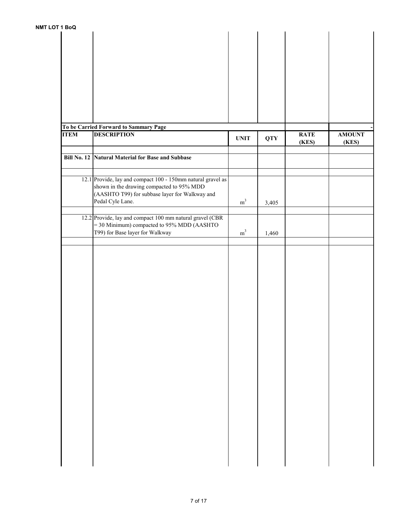| 1 BoQ       |                                                             |                |            |             |               |
|-------------|-------------------------------------------------------------|----------------|------------|-------------|---------------|
|             |                                                             |                |            |             |               |
|             |                                                             |                |            |             |               |
|             |                                                             |                |            |             |               |
|             |                                                             |                |            |             |               |
|             |                                                             |                |            |             |               |
|             |                                                             |                |            |             |               |
|             |                                                             |                |            |             |               |
|             |                                                             |                |            |             |               |
|             |                                                             |                |            |             |               |
|             |                                                             |                |            |             |               |
|             |                                                             |                |            |             |               |
|             |                                                             |                |            |             |               |
|             |                                                             |                |            |             |               |
|             |                                                             |                |            |             |               |
|             |                                                             |                |            |             |               |
|             | To be Carried Forward to Sammary Page                       |                |            |             |               |
| <b>ITEM</b> | <b>DESCRIPTION</b>                                          | <b>UNIT</b>    | <b>QTY</b> | <b>RATE</b> | <b>AMOUNT</b> |
|             |                                                             |                |            | (KES)       | (KES)         |
|             |                                                             |                |            |             |               |
|             | Bill No. 12 Natural Material for Base and Subbase           |                |            |             |               |
|             |                                                             |                |            |             |               |
|             |                                                             |                |            |             |               |
|             |                                                             |                |            |             |               |
|             | 12.1 Provide, lay and compact 100 - 150mm natural gravel as |                |            |             |               |
|             | shown in the drawing compacted to 95% MDD                   |                |            |             |               |
|             | (AASHTO T99) for subbase layer for Walkway and              |                |            |             |               |
|             |                                                             |                |            |             |               |
|             | Pedal Cyle Lane.                                            | m <sup>3</sup> | 3,405      |             |               |
|             |                                                             |                |            |             |               |
|             | 12.2 Provide, lay and compact 100 mm natural gravel (CBR    |                |            |             |               |
|             | = 30 Minimum) compacted to 95% MDD (AASHTO                  |                |            |             |               |
|             |                                                             |                |            |             |               |
|             | T99) for Base layer for Walkway                             | m <sup>3</sup> | 1,460      |             |               |
|             |                                                             |                |            |             |               |
|             |                                                             |                |            |             |               |
|             |                                                             |                |            |             |               |
|             |                                                             |                |            |             |               |
|             |                                                             |                |            |             |               |
|             |                                                             |                |            |             |               |
|             |                                                             |                |            |             |               |
|             |                                                             |                |            |             |               |
|             |                                                             |                |            |             |               |
|             |                                                             |                |            |             |               |
|             |                                                             |                |            |             |               |
|             |                                                             |                |            |             |               |
|             |                                                             |                |            |             |               |
|             |                                                             |                |            |             |               |
|             |                                                             |                |            |             |               |
|             |                                                             |                |            |             |               |
|             |                                                             |                |            |             |               |
|             |                                                             |                |            |             |               |
|             |                                                             |                |            |             |               |
|             |                                                             |                |            |             |               |
|             |                                                             |                |            |             |               |
|             |                                                             |                |            |             |               |
|             |                                                             |                |            |             |               |
|             |                                                             |                |            |             |               |
|             |                                                             |                |            |             |               |
|             |                                                             |                |            |             |               |
|             |                                                             |                |            |             |               |
|             |                                                             |                |            |             |               |
|             |                                                             |                |            |             |               |
|             |                                                             |                |            |             |               |
|             |                                                             |                |            |             |               |
|             |                                                             |                |            |             |               |
|             |                                                             |                |            |             |               |
|             |                                                             |                |            |             |               |
|             |                                                             |                |            |             |               |
|             |                                                             |                |            |             |               |
|             |                                                             |                |            |             |               |
|             |                                                             |                |            |             |               |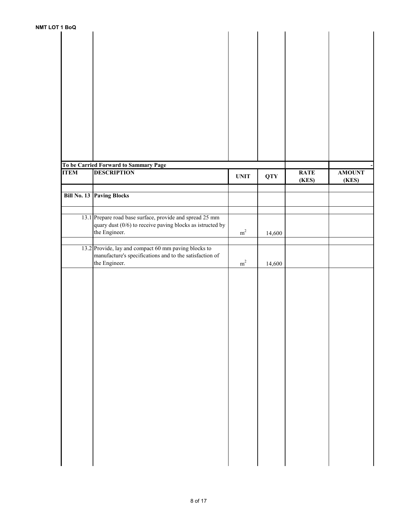| <b>UI 1 BOU</b> |                                                             |             |            |             |               |
|-----------------|-------------------------------------------------------------|-------------|------------|-------------|---------------|
|                 |                                                             |             |            |             |               |
|                 |                                                             |             |            |             |               |
|                 |                                                             |             |            |             |               |
|                 |                                                             |             |            |             |               |
|                 |                                                             |             |            |             |               |
|                 |                                                             |             |            |             |               |
|                 |                                                             |             |            |             |               |
|                 |                                                             |             |            |             |               |
|                 |                                                             |             |            |             |               |
|                 |                                                             |             |            |             |               |
|                 |                                                             |             |            |             |               |
|                 |                                                             |             |            |             |               |
|                 |                                                             |             |            |             |               |
|                 |                                                             |             |            |             |               |
|                 |                                                             |             |            |             |               |
|                 |                                                             |             |            |             |               |
|                 |                                                             |             |            |             |               |
|                 |                                                             |             |            |             |               |
|                 | To be Carried Forward to Sammary Page                       |             |            |             |               |
| <b>ITEM</b>     | <b>DESCRIPTION</b>                                          | <b>UNIT</b> | <b>QTY</b> | <b>RATE</b> | <b>AMOUNT</b> |
|                 |                                                             |             |            | (KES)       | (KES)         |
|                 |                                                             |             |            |             |               |
|                 | Bill No. 13 Paving Blocks                                   |             |            |             |               |
|                 |                                                             |             |            |             |               |
|                 |                                                             |             |            |             |               |
|                 | 13.1 Prepare road base surface, provide and spread 25 mm    |             |            |             |               |
|                 | quary dust $(0/6)$ to receive paving blocks as istructed by |             |            |             |               |
|                 | the Engineer.                                               | $\rm m^2$   | 14,600     |             |               |
|                 |                                                             |             |            |             |               |
|                 | 13.2 Provide, lay and compact 60 mm paving blocks to        |             |            |             |               |
|                 | manufacture's specifications and to the satisfaction of     |             |            |             |               |
|                 | the Engineer.                                               | $\rm m^2$   | 14,600     |             |               |
|                 |                                                             |             |            |             |               |
|                 |                                                             |             |            |             |               |
|                 |                                                             |             |            |             |               |
|                 |                                                             |             |            |             |               |
|                 |                                                             |             |            |             |               |
|                 |                                                             |             |            |             |               |
|                 |                                                             |             |            |             |               |
|                 |                                                             |             |            |             |               |
|                 |                                                             |             |            |             |               |
|                 |                                                             |             |            |             |               |
|                 |                                                             |             |            |             |               |
|                 |                                                             |             |            |             |               |
|                 |                                                             |             |            |             |               |
|                 |                                                             |             |            |             |               |
|                 |                                                             |             |            |             |               |
|                 |                                                             |             |            |             |               |
|                 |                                                             |             |            |             |               |
|                 |                                                             |             |            |             |               |
|                 |                                                             |             |            |             |               |
|                 |                                                             |             |            |             |               |
|                 |                                                             |             |            |             |               |
|                 |                                                             |             |            |             |               |
|                 |                                                             |             |            |             |               |
|                 |                                                             |             |            |             |               |
|                 |                                                             |             |            |             |               |
|                 |                                                             |             |            |             |               |
|                 |                                                             |             |            |             |               |
|                 |                                                             |             |            |             |               |
|                 |                                                             |             |            |             |               |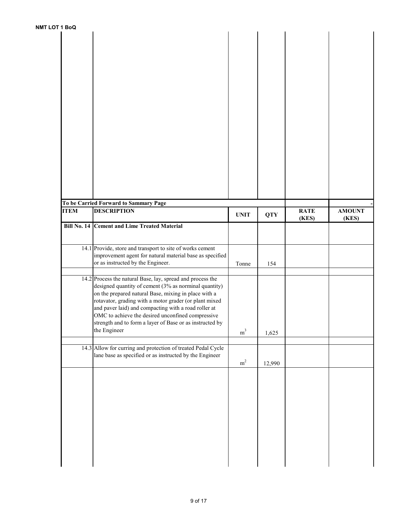| 1 BoQ       |                                                              |                |            |             |               |
|-------------|--------------------------------------------------------------|----------------|------------|-------------|---------------|
|             |                                                              |                |            |             |               |
|             |                                                              |                |            |             |               |
|             |                                                              |                |            |             |               |
|             |                                                              |                |            |             |               |
|             |                                                              |                |            |             |               |
|             |                                                              |                |            |             |               |
|             |                                                              |                |            |             |               |
|             |                                                              |                |            |             |               |
|             |                                                              |                |            |             |               |
|             |                                                              |                |            |             |               |
|             |                                                              |                |            |             |               |
|             |                                                              |                |            |             |               |
|             |                                                              |                |            |             |               |
|             |                                                              |                |            |             |               |
|             |                                                              |                |            |             |               |
|             |                                                              |                |            |             |               |
|             |                                                              |                |            |             |               |
|             |                                                              |                |            |             |               |
|             |                                                              |                |            |             |               |
|             |                                                              |                |            |             |               |
|             |                                                              |                |            |             |               |
|             |                                                              |                |            |             |               |
|             |                                                              |                |            |             |               |
|             |                                                              |                |            |             |               |
|             |                                                              |                |            |             |               |
|             |                                                              |                |            |             |               |
|             |                                                              |                |            |             |               |
|             | To be Carried Forward to Sammary Page                        |                |            |             |               |
| <b>ITEM</b> | <b>DESCRIPTION</b>                                           |                |            | <b>RATE</b> | <b>AMOUNT</b> |
|             |                                                              | <b>UNIT</b>    | <b>QTY</b> | (KES)       | (KES)         |
|             | <b>Bill No. 14 Cement and Lime Treated Material</b>          |                |            |             |               |
|             |                                                              |                |            |             |               |
|             |                                                              |                |            |             |               |
|             |                                                              |                |            |             |               |
|             | 14.1 Provide, store and transport to site of works cement    |                |            |             |               |
|             | improvement agent for natural material base as specified     |                |            |             |               |
|             | or as instructed by the Engineer.                            | Tonne          | 154        |             |               |
|             |                                                              |                |            |             |               |
|             |                                                              |                |            |             |               |
|             | 14.2 Process the natural Base, lay, spread and process the   |                |            |             |               |
|             | designed quantity of cement (3% as norminal quantity)        |                |            |             |               |
|             | on the prepared natural Base, mixing in place with a         |                |            |             |               |
|             | rotavator, grading with a motor grader (or plant mixed       |                |            |             |               |
|             | and paver laid) and compacting with a road roller at         |                |            |             |               |
|             |                                                              |                |            |             |               |
|             | OMC to achieve the desired unconfined compressive            |                |            |             |               |
|             | strength and to form a layer of Base or as instructed by     |                |            |             |               |
|             | the Engineer                                                 | m <sup>3</sup> | 1,625      |             |               |
|             |                                                              |                |            |             |               |
|             |                                                              |                |            |             |               |
|             | 14.3 Allow for curring and protection of treated Pedal Cycle |                |            |             |               |
|             | lane base as specified or as instructed by the Engineer      |                |            |             |               |
|             |                                                              | $\rm m^2$      | 12,990     |             |               |
|             |                                                              |                |            |             |               |
|             |                                                              |                |            |             |               |
|             |                                                              |                |            |             |               |
|             |                                                              |                |            |             |               |
|             |                                                              |                |            |             |               |
|             |                                                              |                |            |             |               |
|             |                                                              |                |            |             |               |
|             |                                                              |                |            |             |               |
|             |                                                              |                |            |             |               |
|             |                                                              |                |            |             |               |
|             |                                                              |                |            |             |               |
|             |                                                              |                |            |             |               |
|             |                                                              |                |            |             |               |
|             |                                                              |                |            |             |               |
|             |                                                              |                |            |             |               |
|             |                                                              |                |            |             |               |
|             |                                                              |                |            |             |               |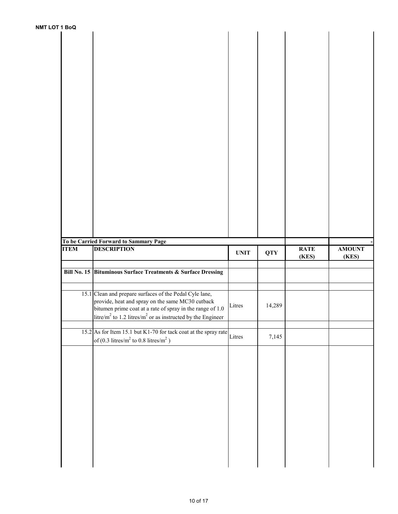| ᄁᄓᆼᄖ        |                                                                                                                        |             |            |             |               |
|-------------|------------------------------------------------------------------------------------------------------------------------|-------------|------------|-------------|---------------|
|             |                                                                                                                        |             |            |             |               |
|             |                                                                                                                        |             |            |             |               |
|             |                                                                                                                        |             |            |             |               |
|             |                                                                                                                        |             |            |             |               |
|             |                                                                                                                        |             |            |             |               |
|             |                                                                                                                        |             |            |             |               |
|             |                                                                                                                        |             |            |             |               |
|             |                                                                                                                        |             |            |             |               |
|             |                                                                                                                        |             |            |             |               |
|             |                                                                                                                        |             |            |             |               |
|             |                                                                                                                        |             |            |             |               |
|             |                                                                                                                        |             |            |             |               |
|             |                                                                                                                        |             |            |             |               |
|             |                                                                                                                        |             |            |             |               |
|             |                                                                                                                        |             |            |             |               |
|             |                                                                                                                        |             |            |             |               |
|             |                                                                                                                        |             |            |             |               |
|             |                                                                                                                        |             |            |             |               |
|             |                                                                                                                        |             |            |             |               |
|             |                                                                                                                        |             |            |             |               |
|             |                                                                                                                        |             |            |             |               |
|             |                                                                                                                        |             |            |             |               |
|             |                                                                                                                        |             |            |             |               |
|             |                                                                                                                        |             |            |             |               |
|             |                                                                                                                        |             |            |             |               |
|             |                                                                                                                        |             |            |             |               |
|             |                                                                                                                        |             |            |             |               |
|             |                                                                                                                        |             |            |             |               |
|             |                                                                                                                        |             |            |             |               |
|             |                                                                                                                        |             |            |             |               |
|             |                                                                                                                        |             |            |             |               |
|             |                                                                                                                        |             |            |             |               |
|             |                                                                                                                        |             |            |             |               |
|             |                                                                                                                        |             |            |             |               |
|             |                                                                                                                        |             |            |             |               |
|             | To be Carried Forward to Sammary Page                                                                                  |             |            |             |               |
| <b>ITEM</b> | <b>DESCRIPTION</b>                                                                                                     |             |            | <b>RATE</b> | <b>AMOUNT</b> |
|             |                                                                                                                        | <b>UNIT</b> | <b>QTY</b> |             |               |
|             |                                                                                                                        |             |            | (KES)       | (KES)         |
|             |                                                                                                                        |             |            |             |               |
|             | Bill No. 15 Bituminous Surface Treatments & Surface Dressing                                                           |             |            |             |               |
|             |                                                                                                                        |             |            |             |               |
|             |                                                                                                                        |             |            |             |               |
|             |                                                                                                                        |             |            |             |               |
|             | 15.1 Clean and prepare surfaces of the Pedal Cyle lane,                                                                |             |            |             |               |
|             | provide, heat and spray on the same MC30 cutback                                                                       |             |            |             |               |
|             | bitumen prime coat at a rate of spray in the range of 1.0                                                              | Litres      | 14,289     |             |               |
|             | $\left  \frac{\text{litre}}{\text{m}^2} \right $ to 1.2 litres/ $m^2$ or as instructed by the Engineer                 |             |            |             |               |
|             |                                                                                                                        |             |            |             |               |
|             |                                                                                                                        |             |            |             |               |
|             |                                                                                                                        |             |            |             |               |
|             | 15.2 As for Item 15.1 but K1-70 for tack coat at the spray rate Litres<br>of (0.3 litres/ $m^2$ to 0.8 litres/ $m^2$ ) |             | 7,145      |             |               |
|             |                                                                                                                        |             |            |             |               |
|             |                                                                                                                        |             |            |             |               |
|             |                                                                                                                        |             |            |             |               |
|             |                                                                                                                        |             |            |             |               |
|             |                                                                                                                        |             |            |             |               |
|             |                                                                                                                        |             |            |             |               |
|             |                                                                                                                        |             |            |             |               |
|             |                                                                                                                        |             |            |             |               |
|             |                                                                                                                        |             |            |             |               |
|             |                                                                                                                        |             |            |             |               |
|             |                                                                                                                        |             |            |             |               |
|             |                                                                                                                        |             |            |             |               |
|             |                                                                                                                        |             |            |             |               |
|             |                                                                                                                        |             |            |             |               |
|             |                                                                                                                        |             |            |             |               |
|             |                                                                                                                        |             |            |             |               |
|             |                                                                                                                        |             |            |             |               |
|             |                                                                                                                        |             |            |             |               |
|             |                                                                                                                        |             |            |             |               |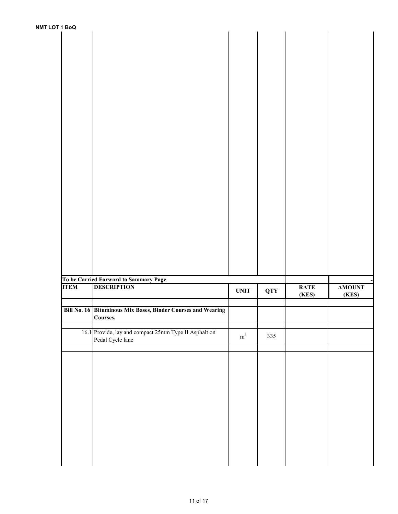| <b>NMT LOT 1 BoQ</b> |             |                                                              |                              |            |             |                        |
|----------------------|-------------|--------------------------------------------------------------|------------------------------|------------|-------------|------------------------|
|                      |             |                                                              |                              |            |             |                        |
|                      |             |                                                              |                              |            |             |                        |
|                      |             |                                                              |                              |            |             |                        |
|                      |             |                                                              |                              |            |             |                        |
|                      |             |                                                              |                              |            |             |                        |
|                      |             |                                                              |                              |            |             |                        |
|                      |             |                                                              |                              |            |             |                        |
|                      |             |                                                              |                              |            |             |                        |
|                      |             |                                                              |                              |            |             |                        |
|                      |             |                                                              |                              |            |             |                        |
|                      |             |                                                              |                              |            |             |                        |
|                      |             |                                                              |                              |            |             |                        |
|                      |             |                                                              |                              |            |             |                        |
|                      |             |                                                              |                              |            |             |                        |
|                      |             |                                                              |                              |            |             |                        |
|                      |             |                                                              |                              |            |             |                        |
|                      |             |                                                              |                              |            |             |                        |
|                      |             |                                                              |                              |            |             |                        |
|                      |             |                                                              |                              |            |             |                        |
|                      |             |                                                              |                              |            |             |                        |
|                      |             |                                                              |                              |            |             |                        |
|                      |             |                                                              |                              |            |             |                        |
|                      |             |                                                              |                              |            |             |                        |
|                      |             |                                                              |                              |            |             |                        |
|                      |             | To be Carried Forward to Sammary Page                        |                              |            |             |                        |
|                      | <b>ITEM</b> | <b>DESCRIPTION</b>                                           | $\ensuremath{\mathbf{UNIT}}$ | <b>QTY</b> | <b>RATE</b> | <b>AMOUNT</b><br>(KES) |
|                      |             |                                                              |                              |            | (KES)       |                        |
|                      |             | Bill No. 16 Bituminous Mix Bases, Binder Courses and Wearing |                              |            |             |                        |
|                      |             | Courses.                                                     |                              |            |             |                        |
|                      |             | 16.1 Provide, lay and compact 25mm Type II Asphalt on        |                              |            |             |                        |
|                      |             | Pedal Cycle lane                                             | $\rm m^3$                    | 335        |             |                        |
|                      |             |                                                              |                              |            |             |                        |
|                      |             |                                                              |                              |            |             |                        |
|                      |             |                                                              |                              |            |             |                        |
|                      |             |                                                              |                              |            |             |                        |
|                      |             |                                                              |                              |            |             |                        |
|                      |             |                                                              |                              |            |             |                        |
|                      |             |                                                              |                              |            |             |                        |
|                      |             |                                                              |                              |            |             |                        |
|                      |             |                                                              |                              |            |             |                        |
|                      |             |                                                              |                              |            |             |                        |
|                      |             |                                                              |                              |            |             |                        |
|                      |             |                                                              |                              |            |             |                        |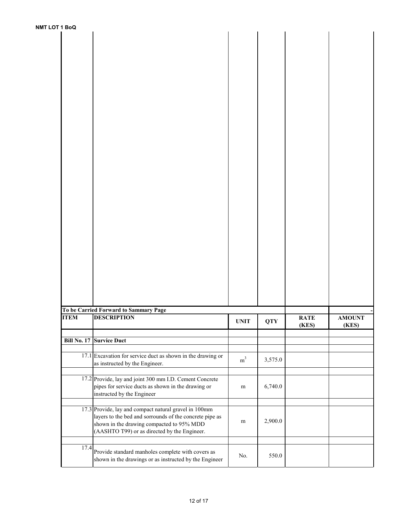| <b>NMT LOT 1 BoQ</b> |             |                                                                                                                                                                                                               |                |            |                      |                        |
|----------------------|-------------|---------------------------------------------------------------------------------------------------------------------------------------------------------------------------------------------------------------|----------------|------------|----------------------|------------------------|
|                      |             |                                                                                                                                                                                                               |                |            |                      |                        |
|                      |             |                                                                                                                                                                                                               |                |            |                      |                        |
|                      |             |                                                                                                                                                                                                               |                |            |                      |                        |
|                      |             |                                                                                                                                                                                                               |                |            |                      |                        |
|                      |             |                                                                                                                                                                                                               |                |            |                      |                        |
|                      |             |                                                                                                                                                                                                               |                |            |                      |                        |
|                      |             |                                                                                                                                                                                                               |                |            |                      |                        |
|                      |             |                                                                                                                                                                                                               |                |            |                      |                        |
|                      |             |                                                                                                                                                                                                               |                |            |                      |                        |
|                      |             |                                                                                                                                                                                                               |                |            |                      |                        |
|                      |             |                                                                                                                                                                                                               |                |            |                      |                        |
|                      |             | To be Carried Forward to Sammary Page                                                                                                                                                                         |                |            |                      |                        |
|                      | <b>ITEM</b> | <b>DESCRIPTION</b>                                                                                                                                                                                            | <b>UNIT</b>    | <b>QTY</b> | <b>RATE</b><br>(KES) | <b>AMOUNT</b><br>(KES) |
|                      | Bill No. 17 | <b>Survice Duct</b>                                                                                                                                                                                           |                |            |                      |                        |
|                      |             | $17.1$ Excavation for service duct as shown in the drawing or<br>as instructed by the Engineer.                                                                                                               | m <sup>3</sup> | 3,575.0    |                      |                        |
|                      |             | 17.2 Provide, lay and joint 300 mm I.D. Cement Concrete<br>pipes for service ducts as shown in the drawing or<br>instructed by the Engineer                                                                   | m              | 6,740.0    |                      |                        |
|                      |             | 17.3 Provide, lay and compact natural gravel in 100mm<br>layers to the bed and sorrounds of the concrete pipe as<br>shown in the drawing compacted to 95% MDD<br>(AASHTO T99) or as directed by the Engineer. | m              | 2,900.0    |                      |                        |
|                      | 17.4        | Provide standard manholes complete with covers as<br>shown in the drawings or as instructed by the Engineer                                                                                                   | No.            | 550.0      |                      |                        |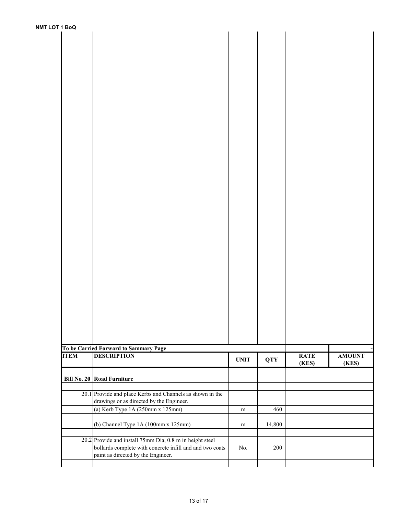| <b>NMT LOT 1 BoQ</b> |                                                                                                |             |            |                      |                        |
|----------------------|------------------------------------------------------------------------------------------------|-------------|------------|----------------------|------------------------|
|                      |                                                                                                |             |            |                      |                        |
|                      |                                                                                                |             |            |                      |                        |
|                      |                                                                                                |             |            |                      |                        |
|                      |                                                                                                |             |            |                      |                        |
|                      |                                                                                                |             |            |                      |                        |
|                      |                                                                                                |             |            |                      |                        |
|                      |                                                                                                |             |            |                      |                        |
|                      |                                                                                                |             |            |                      |                        |
|                      |                                                                                                |             |            |                      |                        |
|                      |                                                                                                |             |            |                      |                        |
|                      |                                                                                                |             |            |                      |                        |
|                      |                                                                                                |             |            |                      |                        |
|                      |                                                                                                |             |            |                      |                        |
|                      |                                                                                                |             |            |                      |                        |
|                      |                                                                                                |             |            |                      |                        |
|                      |                                                                                                |             |            |                      |                        |
|                      |                                                                                                |             |            |                      |                        |
|                      |                                                                                                |             |            |                      |                        |
|                      |                                                                                                |             |            |                      |                        |
|                      |                                                                                                |             |            |                      |                        |
|                      |                                                                                                |             |            |                      |                        |
|                      |                                                                                                |             |            |                      |                        |
|                      |                                                                                                |             |            |                      |                        |
|                      |                                                                                                |             |            |                      |                        |
|                      |                                                                                                |             |            |                      |                        |
|                      |                                                                                                |             |            |                      |                        |
|                      |                                                                                                |             |            |                      |                        |
|                      |                                                                                                |             |            |                      |                        |
|                      |                                                                                                |             |            |                      |                        |
|                      |                                                                                                |             |            |                      |                        |
|                      |                                                                                                |             |            |                      |                        |
|                      | To be Carried Forward to Sammary Page                                                          |             |            |                      |                        |
| <b>ITEM</b>          | <b>DESCRIPTION</b>                                                                             | <b>UNIT</b> | <b>QTY</b> | <b>RATE</b><br>(KES) | <b>AMOUNT</b><br>(KES) |
|                      | <b>Bill No. 20 Road Furniture</b>                                                              |             |            |                      |                        |
|                      | 20.1 Provide and place Kerbs and Channels as shown in the                                      |             |            |                      |                        |
|                      | drawings or as directed by the Engineer.                                                       |             |            |                      |                        |
|                      | (a) Kerb Type 1A (250mm x 125mm)                                                               | ${\bf m}$   | 460        |                      |                        |
|                      | (b) Channel Type 1A (100mm x 125mm)                                                            | m           | 14,800     |                      |                        |
|                      |                                                                                                |             |            |                      |                        |
|                      | 20.2 Provide and install 75mm Dia, 0.8 m in height steel                                       |             |            |                      |                        |
|                      | bollards complete with concrete infill and and two coats<br>paint as directed by the Engineer. | No.         | 200        |                      |                        |
|                      |                                                                                                |             |            |                      |                        |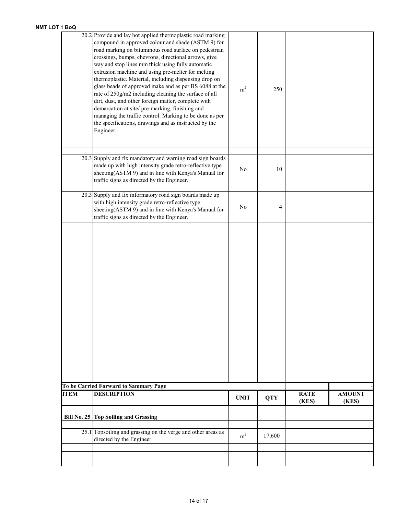|             | 20.2 Provide and lay hot applied thermoplastic road marking<br>compound in approved colour and shade (ASTM 9) for<br>road marking on bituminous road surface on pedestrian<br>crossings, bumps, chevrons, directional arrows, give<br>way and stop lines mm thick using fully automatic<br>extrusion machine and using pre-melter for melting<br>thermoplastic. Material, including dispensing drop on<br>glass beads of approved make and as per BS 6088 at the<br>rate of 250g/m2 including cleaning the surface of all<br>dirt, dust, and other foreign matter, complete with<br>demarcation at site/pre-marking, finishing and<br>managing the traffic control. Marking to be done as per<br>the specifications, drawings and as instructed by the<br>Engineer. | m <sup>2</sup> | 250        |             |               |
|-------------|---------------------------------------------------------------------------------------------------------------------------------------------------------------------------------------------------------------------------------------------------------------------------------------------------------------------------------------------------------------------------------------------------------------------------------------------------------------------------------------------------------------------------------------------------------------------------------------------------------------------------------------------------------------------------------------------------------------------------------------------------------------------|----------------|------------|-------------|---------------|
|             | 20.3 Supply and fix mandatory and warning road sign boards<br>made up with high intensity grade retro-reflective type<br>sheeting(ASTM 9) and in line with Kenya's Manual for<br>traffic signs as directed by the Engineer.                                                                                                                                                                                                                                                                                                                                                                                                                                                                                                                                         | N <sub>0</sub> | 10         |             |               |
|             | $20.3$ Supply and fix informatory road sign boards made up<br>with high intensity grade retro-reflective type<br>sheeting(ASTM 9) and in line with Kenya's Manual for<br>traffic signs as directed by the Engineer.                                                                                                                                                                                                                                                                                                                                                                                                                                                                                                                                                 | N <sub>0</sub> | 4          |             |               |
|             |                                                                                                                                                                                                                                                                                                                                                                                                                                                                                                                                                                                                                                                                                                                                                                     |                |            |             |               |
|             | To be Carried Forward to Sammary Page                                                                                                                                                                                                                                                                                                                                                                                                                                                                                                                                                                                                                                                                                                                               |                |            |             |               |
| <b>ITEM</b> | <b>DESCRIPTION</b>                                                                                                                                                                                                                                                                                                                                                                                                                                                                                                                                                                                                                                                                                                                                                  | <b>UNIT</b>    | <b>QTY</b> | <b>RATE</b> | <b>AMOUNT</b> |
|             | Bill No. 25 Top Soiling and Grassing                                                                                                                                                                                                                                                                                                                                                                                                                                                                                                                                                                                                                                                                                                                                |                |            | (KES)       | (KES)         |
|             | 25.1 Topsoiling and grassing on the verge and other areas as                                                                                                                                                                                                                                                                                                                                                                                                                                                                                                                                                                                                                                                                                                        |                |            |             |               |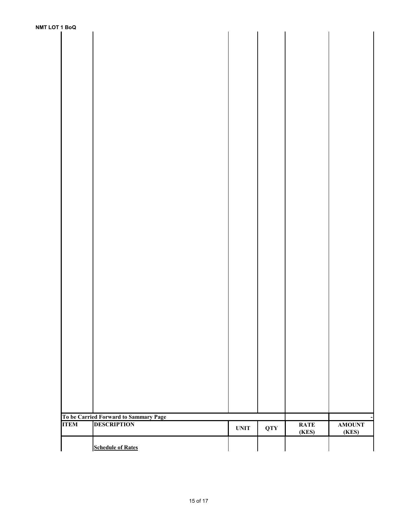| <b>NMT LOT 1 BoQ</b> |             |                                       |                              |            |                      |                        |
|----------------------|-------------|---------------------------------------|------------------------------|------------|----------------------|------------------------|
|                      |             |                                       |                              |            |                      |                        |
|                      |             |                                       |                              |            |                      |                        |
|                      |             |                                       |                              |            |                      |                        |
|                      |             |                                       |                              |            |                      |                        |
|                      |             |                                       |                              |            |                      |                        |
|                      |             |                                       |                              |            |                      |                        |
|                      |             |                                       |                              |            |                      |                        |
|                      |             |                                       |                              |            |                      |                        |
|                      |             |                                       |                              |            |                      |                        |
|                      |             |                                       |                              |            |                      |                        |
|                      |             |                                       |                              |            |                      |                        |
|                      |             |                                       |                              |            |                      |                        |
|                      |             |                                       |                              |            |                      |                        |
|                      |             |                                       |                              |            |                      |                        |
|                      |             |                                       |                              |            |                      |                        |
|                      |             |                                       |                              |            |                      |                        |
|                      |             |                                       |                              |            |                      |                        |
|                      |             |                                       |                              |            |                      |                        |
|                      |             |                                       |                              |            |                      |                        |
|                      |             |                                       |                              |            |                      |                        |
|                      |             |                                       |                              |            |                      |                        |
|                      |             |                                       |                              |            |                      |                        |
|                      |             |                                       |                              |            |                      |                        |
|                      |             |                                       |                              |            |                      |                        |
|                      |             |                                       |                              |            |                      |                        |
|                      |             |                                       |                              |            |                      |                        |
|                      |             |                                       |                              |            |                      |                        |
|                      |             |                                       |                              |            |                      |                        |
|                      |             |                                       |                              |            |                      |                        |
|                      |             |                                       |                              |            |                      |                        |
|                      |             |                                       |                              |            |                      |                        |
|                      |             |                                       |                              |            |                      |                        |
|                      |             |                                       |                              |            |                      |                        |
|                      |             |                                       |                              |            |                      |                        |
|                      |             |                                       |                              |            |                      |                        |
|                      |             |                                       |                              |            |                      |                        |
|                      |             |                                       |                              |            |                      |                        |
|                      |             |                                       |                              |            |                      |                        |
|                      |             |                                       |                              |            |                      |                        |
|                      |             |                                       |                              |            |                      |                        |
|                      |             | To be Carried Forward to Sammary Page |                              |            |                      |                        |
|                      | <b>ITEM</b> | <b>DESCRIPTION</b>                    | $\ensuremath{\mathbf{UNIT}}$ | <b>QTY</b> | <b>RATE</b><br>(KES) | <b>AMOUNT</b><br>(KES) |
|                      |             |                                       |                              |            |                      |                        |
|                      |             | <b>Schedule of Rates</b>              |                              |            |                      |                        |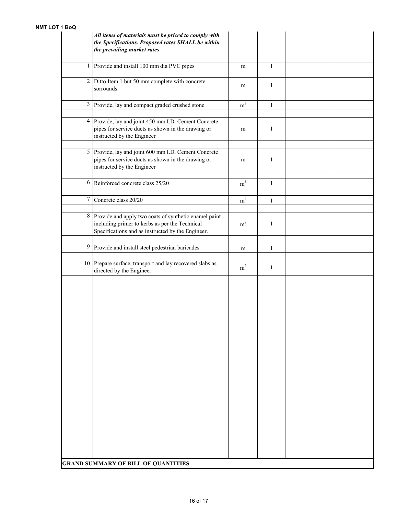|                | All items of materials must be priced to comply with<br>the Specifications. Proposed rates SHALL be within<br>the prevailing market rates                    |                |              |  |
|----------------|--------------------------------------------------------------------------------------------------------------------------------------------------------------|----------------|--------------|--|
| $\mathbf{1}$   | Provide and install 100 mm dia PVC pipes                                                                                                                     | m              | $\mathbf{1}$ |  |
| $\overline{2}$ | Ditto Item 1 but 50 mm complete with concrete<br>sorrounds                                                                                                   | m              | $\mathbf{1}$ |  |
| 3              | Provide, lay and compact graded crushed stone                                                                                                                | m <sup>3</sup> | $\mathbf{1}$ |  |
|                | 4 Provide, lay and joint 450 mm I.D. Cement Concrete<br>pipes for service ducts as shown in the drawing or<br>instructed by the Engineer                     | m              | $\mathbf{1}$ |  |
|                | 5 Provide, lay and joint 600 mm I.D. Cement Concrete<br>pipes for service ducts as shown in the drawing or<br>instructed by the Engineer                     | m              | $\mathbf{1}$ |  |
|                | 6 Reinforced concrete class 25/20                                                                                                                            | m <sup>3</sup> | $\mathbf{1}$ |  |
| $\overline{7}$ | Concrete class 20/20                                                                                                                                         | m <sup>3</sup> | $\mathbf{1}$ |  |
| 8              | Provide and apply two coats of synthetic enamel paint<br>including primer to kerbs as per the Technical<br>Specifications and as instructed by the Engineer. | m <sup>2</sup> | $\mathbf{1}$ |  |
| 9              | Provide and install steel pedestrian baricades                                                                                                               | m              | $\mathbf{1}$ |  |
|                | 10 Prepare surface, transport and lay recovered slabs as<br>directed by the Engineer.                                                                        | m <sup>2</sup> | $\mathbf{1}$ |  |
|                |                                                                                                                                                              |                |              |  |